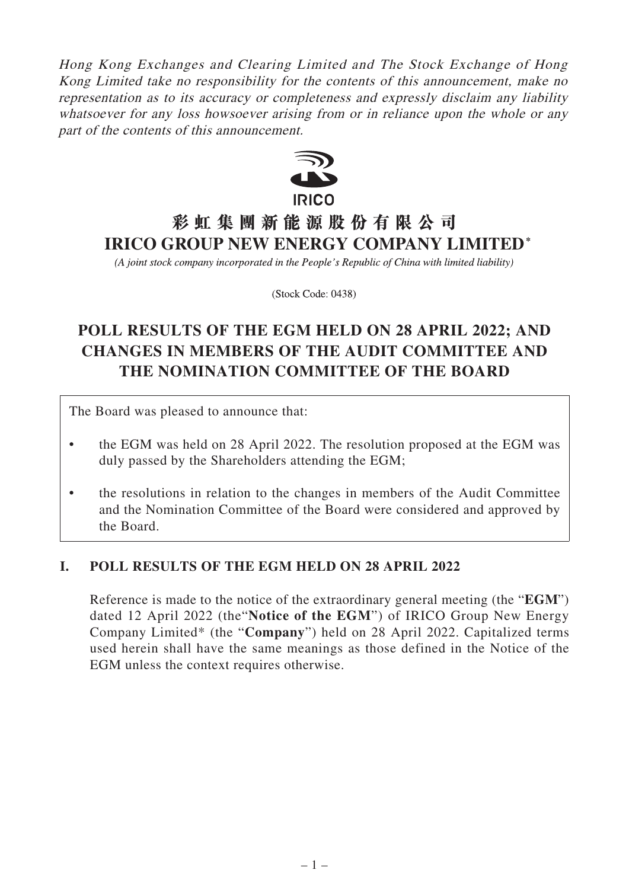Hong Kong Exchanges and Clearing Limited and The Stock Exchange of Hong Kong Limited take no responsibility for the contents of this announcement, make no representation as to its accuracy or completeness and expressly disclaim any liability whatsoever for any loss howsoever arising from or in reliance upon the whole or any part of the contents of this announcement.



# **彩虹集團新能源股份有限公司 IRICO GROUP NEW ENERGY COMPANY LIMITED\***

(A joint stock company incorporated in the People's Republic of China with limited liability)

(Stock Code: 0438)

# **POLL RESULTS OF THE EGM HELD ON 28 APRIL 2022; AND CHANGES IN MEMBERS OF THE AUDIT COMMITTEE AND THE NOMINATION COMMITTEE OF THE BOARD**

The Board was pleased to announce that:

- the EGM was held on 28 April 2022. The resolution proposed at the EGM was duly passed by the Shareholders attending the EGM;
- the resolutions in relation to the changes in members of the Audit Committee and the Nomination Committee of the Board were considered and approved by the Board.

### **I. POLL RESULTS OF THE EGM HELD ON 28 APRIL 2022**

Reference is made to the notice of the extraordinary general meeting (the "**EGM**") dated 12 April 2022 (the"**Notice of the EGM**") of IRICO Group New Energy Company Limited\* (the "**Company**") held on 28 April 2022. Capitalized terms used herein shall have the same meanings as those defined in the Notice of the EGM unless the context requires otherwise.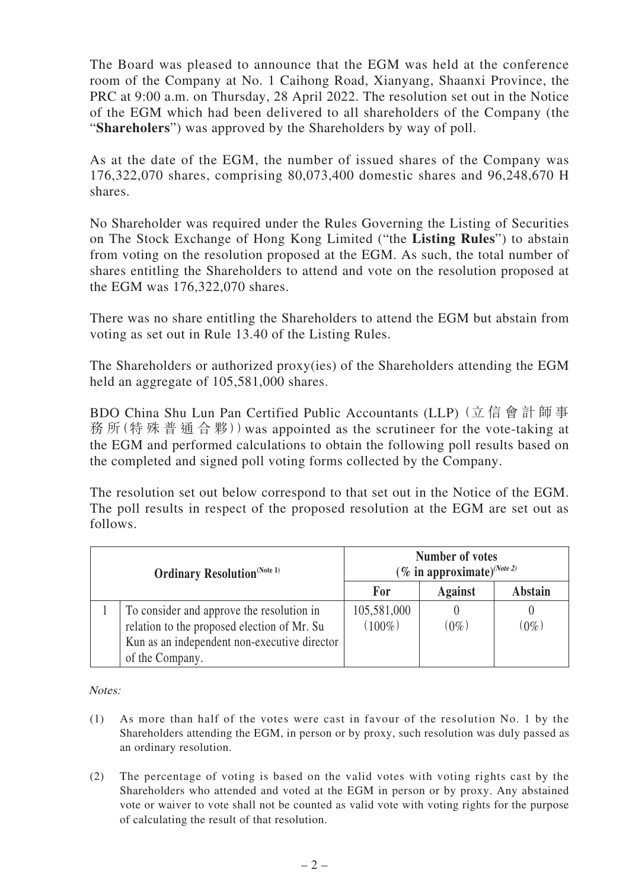The Board was pleased to announce that the EGM was held at the conference room of the Company at No. 1 Caihong Road, Xianyang, Shaanxi Province, the PRC at 9:00 a.m. on Thursday, 28 April 2022. The resolution set out in the Notice of the EGM which had been delivered to all shareholders of the Company (the "**Shareholers**") was approved by the Shareholders by way of poll.

As at the date of the EGM, the number of issued shares of the Company was 176,322,070 shares, comprising 80,073,400 domestic shares and 96,248,670 H shares.

No Shareholder was required under the Rules Governing the Listing of Securities on The Stock Exchange of Hong Kong Limited ("the **Listing Rules**") to abstain from voting on the resolution proposed at the EGM. As such, the total number of shares entitling the Shareholders to attend and vote on the resolution proposed at the EGM was 176,322,070 shares.

There was no share entitling the Shareholders to attend the EGM but abstain from voting as set out in Rule 13.40 of the Listing Rules.

The Shareholders or authorized proxy(ies) of the Shareholders attending the EGM held an aggregate of 105,581,000 shares.

BDO China Shu Lun Pan Certified Public Accountants (LLP) (立 信 會 計 師 事 務 所(特 殊 普 通 合 夥))was appointed as the scrutineer for the vote-taking at the EGM and performed calculations to obtain the following poll results based on the completed and signed poll voting forms collected by the Company.

The resolution set out below correspond to that set out in the Notice of the EGM. The poll results in respect of the proposed resolution at the EGM are set out as follows.

| <b>Ordinary Resolution</b> (Note 1) |                                                                                                                                                             | <b>Number of votes</b><br>(% in approximate) $^{(Note 2)}$ |                |                |
|-------------------------------------|-------------------------------------------------------------------------------------------------------------------------------------------------------------|------------------------------------------------------------|----------------|----------------|
|                                     |                                                                                                                                                             | For                                                        | <b>Against</b> | <b>Abstain</b> |
|                                     | To consider and approve the resolution in<br>relation to the proposed election of Mr. Su<br>Kun as an independent non-executive director<br>of the Company. | 105,581,000<br>$(100\%)$                                   | $0\%$          | $(0\%$         |

Notes:

- (1) As more than half of the votes were cast in favour of the resolution No. 1 by the Shareholders attending the EGM, in person or by proxy, such resolution was duly passed as an ordinary resolution.
- (2) The percentage of voting is based on the valid votes with voting rights cast by the Shareholders who attended and voted at the EGM in person or by proxy. Any abstained vote or waiver to vote shall not be counted as valid vote with voting rights for the purpose of calculating the result of that resolution.